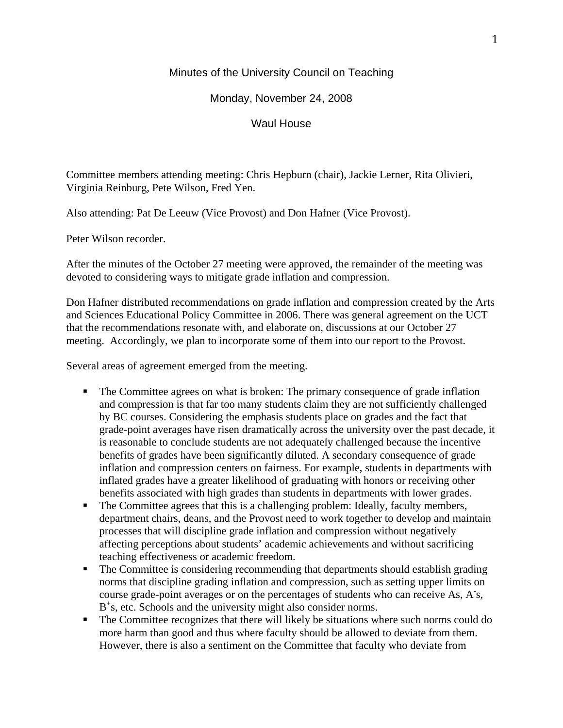## Minutes of the University Council on Teaching

Monday, November 24, 2008

Waul House

Committee members attending meeting: Chris Hepburn (chair), Jackie Lerner, Rita Olivieri, Virginia Reinburg, Pete Wilson, Fred Yen.

Also attending: Pat De Leeuw (Vice Provost) and Don Hafner (Vice Provost).

Peter Wilson recorder.

After the minutes of the October 27 meeting were approved, the remainder of the meeting was devoted to considering ways to mitigate grade inflation and compression.

Don Hafner distributed recommendations on grade inflation and compression created by the Arts and Sciences Educational Policy Committee in 2006. There was general agreement on the UCT that the recommendations resonate with, and elaborate on, discussions at our October 27 meeting. Accordingly, we plan to incorporate some of them into our report to the Provost.

Several areas of agreement emerged from the meeting.

- The Committee agrees on what is broken: The primary consequence of grade inflation and compression is that far too many students claim they are not sufficiently challenged by BC courses. Considering the emphasis students place on grades and the fact that grade-point averages have risen dramatically across the university over the past decade, it is reasonable to conclude students are not adequately challenged because the incentive benefits of grades have been significantly diluted. A secondary consequence of grade inflation and compression centers on fairness. For example, students in departments with inflated grades have a greater likelihood of graduating with honors or receiving other benefits associated with high grades than students in departments with lower grades.
- The Committee agrees that this is a challenging problem: Ideally, faculty members, department chairs, deans, and the Provost need to work together to develop and maintain processes that will discipline grade inflation and compression without negatively affecting perceptions about students' academic achievements and without sacrificing teaching effectiveness or academic freedom.
- The Committee is considering recommending that departments should establish grading norms that discipline grading inflation and compression, such as setting upper limits on course grade-point averages or on the percentages of students who can receive As, A s, B<sup>+</sup>s, etc. Schools and the university might also consider norms.
- The Committee recognizes that there will likely be situations where such norms could do more harm than good and thus where faculty should be allowed to deviate from them. However, there is also a sentiment on the Committee that faculty who deviate from